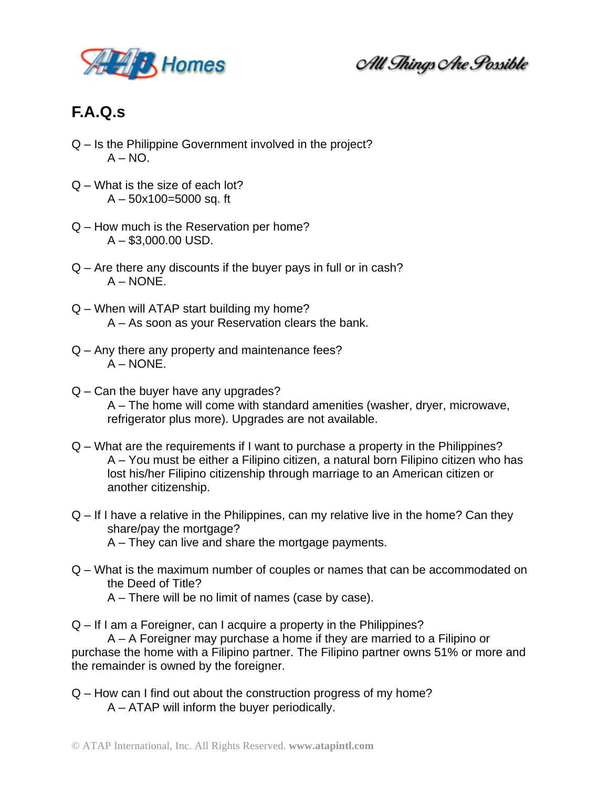

All Things Are Possible

## **F.A.Q.s**

- Q Is the Philippine Government involved in the project?  $A - NO$ .
- Q What is the size of each lot?  $A - 50x100 = 5000$  sq. ft
- Q How much is the Reservation per home?  $A - $3,000.00$  USD.
- Q Are there any discounts if the buyer pays in full or in cash? A – NONE.
- Q When will ATAP start building my home? A – As soon as your Reservation clears the bank.
- Q Any there any property and maintenance fees? A – NONE.
- Q Can the buyer have any upgrades? A – The home will come with standard amenities (washer, dryer, microwave, refrigerator plus more). Upgrades are not available.
- Q What are the requirements if I want to purchase a property in the Philippines? A – You must be either a Filipino citizen, a natural born Filipino citizen who has lost his/her Filipino citizenship through marriage to an American citizen or another citizenship.
- Q If I have a relative in the Philippines, can my relative live in the home? Can they share/pay the mortgage?
	- A They can live and share the mortgage payments.
- Q What is the maximum number of couples or names that can be accommodated on the Deed of Title?
	- A There will be no limit of names (case by case).

Q – If I am a Foreigner, can I acquire a property in the Philippines?

A – A Foreigner may purchase a home if they are married to a Filipino or purchase the home with a Filipino partner. The Filipino partner owns 51% or more and the remainder is owned by the foreigner.

Q – How can I find out about the construction progress of my home? A – ATAP will inform the buyer periodically.